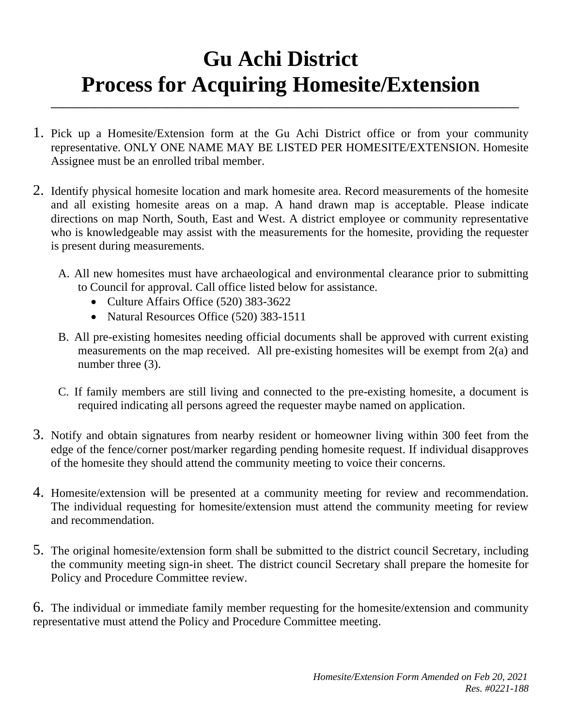## **Gu Achi District Process for Acquiring Homesite/Extension**

**\_\_\_\_\_\_\_\_\_\_\_\_\_\_\_\_\_\_\_\_\_\_\_\_\_\_\_\_\_\_\_\_\_\_\_\_\_\_\_\_\_\_\_\_\_\_\_\_\_\_\_\_\_\_\_\_\_\_\_\_\_\_\_\_\_\_\_\_\_\_\_\_\_\_\_\_\_\_\_\_\_\_\_\_\_**

- 1. Pick up a Homesite/Extension form at the Gu Achi District office or from your community representative. ONLY ONE NAME MAY BE LISTED PER HOMESITE/EXTENSION. Homesite Assignee must be an enrolled tribal member.
- 2. Identify physical homesite location and mark homesite area. Record measurements of the homesite and all existing homesite areas on a map. A hand drawn map is acceptable. Please indicate directions on map North, South, East and West. A district employee or community representative who is knowledgeable may assist with the measurements for the homesite, providing the requester is present during measurements.
	- A. All new homesites must have archaeological and environmental clearance prior to submitting to Council for approval. Call office listed below for assistance.
		- Culture Affairs Office (520) 383-3622
		- Natural Resources Office (520) 383-1511
	- B. All pre-existing homesites needing official documents shall be approved with current existing measurements on the map received. All pre-existing homesites will be exempt from 2(a) and number three  $(3)$ .
	- C. If family members are still living and connected to the pre-existing homesite, a document is required indicating all persons agreed the requester maybe named on application.
- 3. Notify and obtain signatures from nearby resident or homeowner living within 300 feet from the edge of the fence/corner post/marker regarding pending homesite request. If individual disapproves of the homesite they should attend the community meeting to voice their concerns.
- 4. Homesite/extension will be presented at a community meeting for review and recommendation. The individual requesting for homesite/extension must attend the community meeting for review and recommendation.
- 5. The original homesite/extension form shall be submitted to the district council Secretary, including the community meeting sign-in sheet. The district council Secretary shall prepare the homesite for Policy and Procedure Committee review.

6. The individual or immediate family member requesting for the homesite/extension and community representative must attend the Policy and Procedure Committee meeting.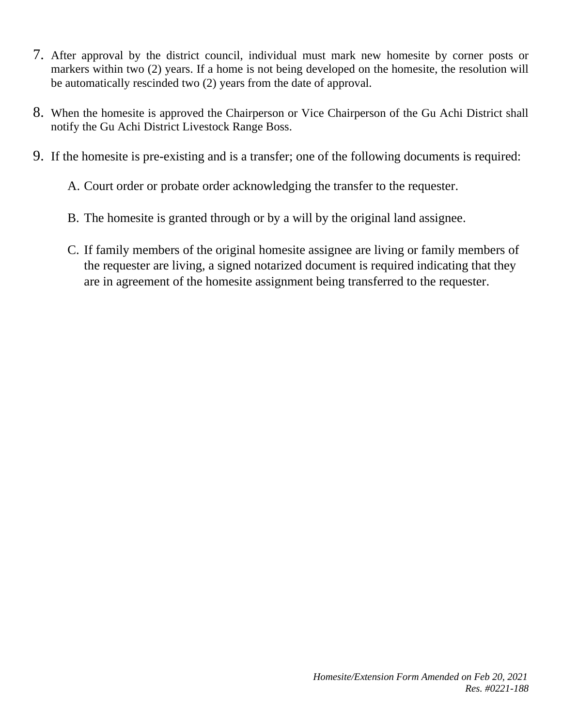- 7. After approval by the district council, individual must mark new homesite by corner posts or markers within two (2) years. If a home is not being developed on the homesite, the resolution will be automatically rescinded two (2) years from the date of approval.
- 8. When the homesite is approved the Chairperson or Vice Chairperson of the Gu Achi District shall notify the Gu Achi District Livestock Range Boss.
- 9. If the homesite is pre-existing and is a transfer; one of the following documents is required:

A. Court order or probate order acknowledging the transfer to the requester.

- B. The homesite is granted through or by a will by the original land assignee.
- C. If family members of the original homesite assignee are living or family members of the requester are living, a signed notarized document is required indicating that they are in agreement of the homesite assignment being transferred to the requester.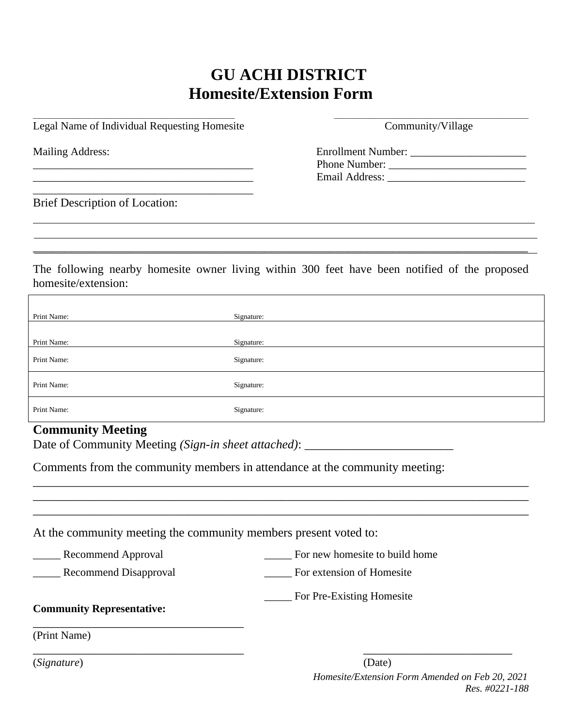## **GU ACHI DISTRICT Homesite/Extension Form**

\_\_\_\_\_\_\_\_\_\_\_\_\_\_\_\_\_\_\_\_\_\_\_\_\_\_\_\_\_\_\_\_\_\_\_\_\_\_\_\_\_\_\_\_\_\_\_\_\_\_\_\_\_\_\_ \_\_\_\_\_\_\_\_\_\_\_\_\_\_\_\_\_\_\_\_\_\_\_\_\_\_\_\_\_\_\_\_\_\_\_\_\_\_\_\_\_\_\_\_\_\_\_\_\_\_\_\_\_

Legal Name of Individual Requesting Homesite Community/Village

\_\_\_\_\_\_\_\_\_\_\_\_\_\_\_\_\_\_\_\_\_\_\_\_\_\_\_\_\_\_\_\_\_\_\_\_\_\_\_\_

| <b>Mailing Address:</b> |  |
|-------------------------|--|
|-------------------------|--|

| <b>Mailing Address:</b> | <b>Enrollment Number:</b> |
|-------------------------|---------------------------|
|                         | Phone Number:             |
|                         | Email Address:            |

Brief Description of Location:

The following nearby homesite owner living within 300 feet have been notified of the proposed homesite/extension:

\_\_\_\_\_\_\_\_\_\_\_\_\_\_\_\_\_\_\_\_\_\_\_\_\_\_\_\_\_\_\_\_\_\_\_\_\_\_\_\_\_\_\_\_\_\_\_\_\_\_\_\_\_\_\_\_\_\_\_\_\_\_\_\_\_\_\_\_\_\_\_\_\_\_\_\_\_

| Print Name: | Signature: |
|-------------|------------|
|             |            |
| Print Name: | Signature: |
|             |            |
| Print Name: | Signature: |
|             |            |
| Print Name: | Signature: |
|             |            |
| Print Name: | Signature: |

\_\_\_\_\_\_\_\_\_\_\_\_\_\_\_\_\_\_\_\_\_\_\_\_\_\_\_\_\_\_\_\_\_\_\_\_\_\_\_\_\_\_\_\_\_\_\_\_\_\_\_\_\_\_\_\_\_\_\_\_\_\_\_\_\_\_\_\_\_\_\_\_\_\_\_\_\_\_\_\_ \_\_\_\_\_\_\_\_\_\_\_\_\_\_\_\_\_\_\_\_\_\_\_\_\_\_\_\_\_\_\_\_\_\_\_\_\_\_\_\_\_\_\_\_\_\_\_\_\_\_\_\_\_\_\_\_\_\_\_\_\_\_\_\_\_\_\_\_\_\_\_\_\_\_\_\_\_\_\_\_ \_\_\_\_\_\_\_\_\_\_\_\_\_\_\_\_\_\_\_\_\_\_\_\_\_\_\_\_\_\_\_\_\_\_\_\_\_\_\_\_\_\_\_\_\_\_\_\_\_\_\_\_\_\_\_\_\_\_\_\_\_\_\_\_\_\_\_\_\_\_\_\_\_\_\_\_\_\_\_\_

## **Community Meeting**

Date of Community Meeting *(Sign-in sheet attached)*:

Comments from the community members in attendance at the community meeting:

At the community meeting the community members present voted to:

| Recommend Approval | For new homesite to build home |
|--------------------|--------------------------------|
|--------------------|--------------------------------|

\_\_\_\_\_ Recommend Disapproval \_\_\_\_\_ For extension of Homesite

\_\_\_\_\_ For Pre-Existing Homesite

**Community Representative:**

\_\_\_\_\_\_\_\_\_\_\_\_\_\_\_\_\_\_\_\_\_\_\_\_\_\_\_\_\_\_\_\_\_\_ (Print Name)

 $\overline{\phantom{a}}$  , and the contribution of the contribution of the contribution of  $\overline{\phantom{a}}$  , and  $\overline{\phantom{a}}$  , and  $\overline{\phantom{a}}$ (*Signature*) (Date)

 *Homesite/Extension Form Amended on Feb 20, 2021 Res. #0221-188*